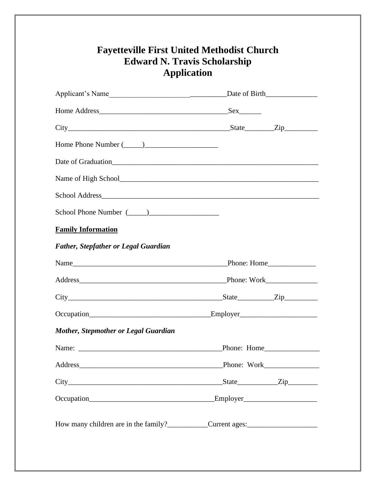## **Fayetteville First United Methodist Church Edward N. Travis Scholarship Application**

| <b>Family Information</b>                          |             |               |  |  |
|----------------------------------------------------|-------------|---------------|--|--|
| <b>Father, Stepfather or Legal Guardian</b>        |             |               |  |  |
|                                                    |             |               |  |  |
|                                                    |             |               |  |  |
|                                                    |             |               |  |  |
|                                                    |             |               |  |  |
| <b>Mother, Stepmother or Legal Guardian</b>        |             |               |  |  |
|                                                    |             |               |  |  |
|                                                    | Phone: Work |               |  |  |
|                                                    |             | $State$ $Zip$ |  |  |
|                                                    |             |               |  |  |
| How many children are in the family? Current ages: |             |               |  |  |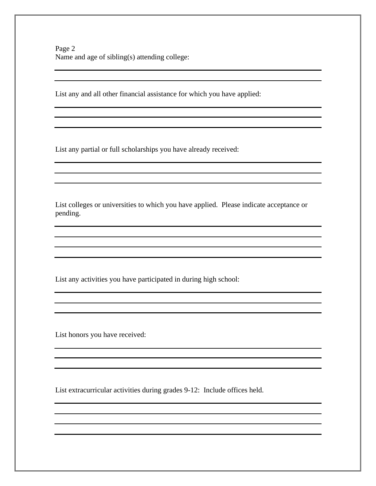List any and all other financial assistance for which you have applied:

List any partial or full scholarships you have already received:

List colleges or universities to which you have applied. Please indicate acceptance or pending.

<u> 1989 - Johann Barn, amerikansk politiker (d. 1989)</u>

List any activities you have participated in during high school:

List honors you have received:

List extracurricular activities during grades 9-12: Include offices held.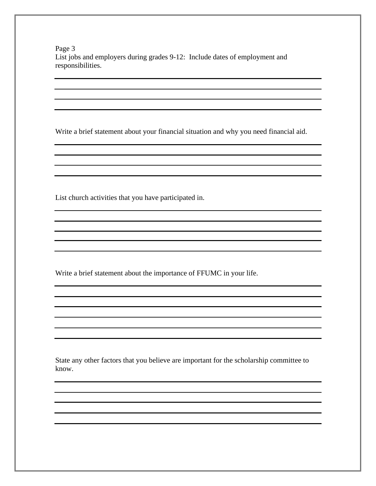Page 3 List jobs and employers during grades 9-12: Include dates of employment and responsibilities.

Write a brief statement about your financial situation and why you need financial aid.

List church activities that you have participated in.

Write a brief statement about the importance of FFUMC in your life.

State any other factors that you believe are important for the scholarship committee to know.